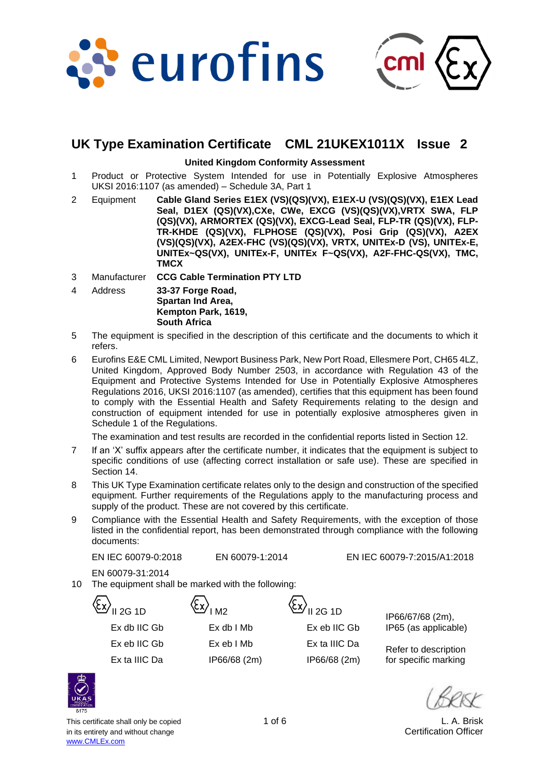



# **UK Type Examination Certificate CML 21UKEX1011X Issue 2**

#### **United Kingdom Conformity Assessment**

- 1 Product or Protective System Intended for use in Potentially Explosive Atmospheres UKSI 2016:1107 (as amended) – Schedule 3A, Part 1
- 2 Equipment **Cable Gland Series E1EX (VS)(QS)(VX), E1EX-U (VS)(QS)(VX), E1EX Lead Seal, D1EX (QS)(VX),CXe, CWe, EXCG (VS)(QS)(VX),VRTX SWA, FLP (QS)(VX), ARMORTEX (QS)(VX), EXCG-Lead Seal, FLP-TR (QS)(VX), FLP-TR-KHDE (QS)(VX), FLPHOSE (QS)(VX), Posi Grip (QS)(VX), A2EX (VS)(QS)(VX), A2EX-FHC (VS)(QS)(VX), VRTX, UNITEx-D (VS), UNITEx-E, UNITEx~QS(VX), UNITEx-F, UNITEx F~QS(VX), A2F-FHC-QS(VX), TMC, TMCX**
- 3 Manufacturer **CCG Cable Termination PTY LTD**
- 4 Address **33-37 Forge Road, Spartan Ind Area, Kempton Park, 1619, South Africa**
- 5 The equipment is specified in the description of this certificate and the documents to which it refers.
- 6 Eurofins E&E CML Limited, Newport Business Park, New Port Road, Ellesmere Port, CH65 4LZ, United Kingdom, Approved Body Number 2503, in accordance with Regulation 43 of the Equipment and Protective Systems Intended for Use in Potentially Explosive Atmospheres Regulations 2016, UKSI 2016:1107 (as amended), certifies that this equipment has been found to comply with the Essential Health and Safety Requirements relating to the design and construction of equipment intended for use in potentially explosive atmospheres given in Schedule 1 of the Regulations.

The examination and test results are recorded in the confidential reports listed in Section 12.

- 7 If an 'X' suffix appears after the certificate number, it indicates that the equipment is subject to specific conditions of use (affecting correct installation or safe use). These are specified in Section 14.
- 8 This UK Type Examination certificate relates only to the design and construction of the specified equipment. Further requirements of the Regulations apply to the manufacturing process and supply of the product. These are not covered by this certificate.
- 9 Compliance with the Essential Health and Safety Requirements, with the exception of those listed in the confidential report, has been demonstrated through compliance with the following documents:

EN IEC 60079-0:2018 EN 60079-1:2014 EN IEC 60079-7:2015/A1:2018

EN 60079-31:2014

10 The equipment shall be marked with the following:

 $\langle \xi \chi \rangle_{\text{I M2}}$   $\langle \xi \chi \rangle_{\text{I 2G 1D}}$ 

Ex eb IIC Gb Ex eb I Mb Ex ta IIIC Da

IP66/67/68 (2m), Ex db IIC Gb Ex db I Mb Ex eb IIC Gb IP65 (as applicable)

Refer to description Ex ta IIIC Da IP66/68 (2m) IP66/68 (2m) for specific marking

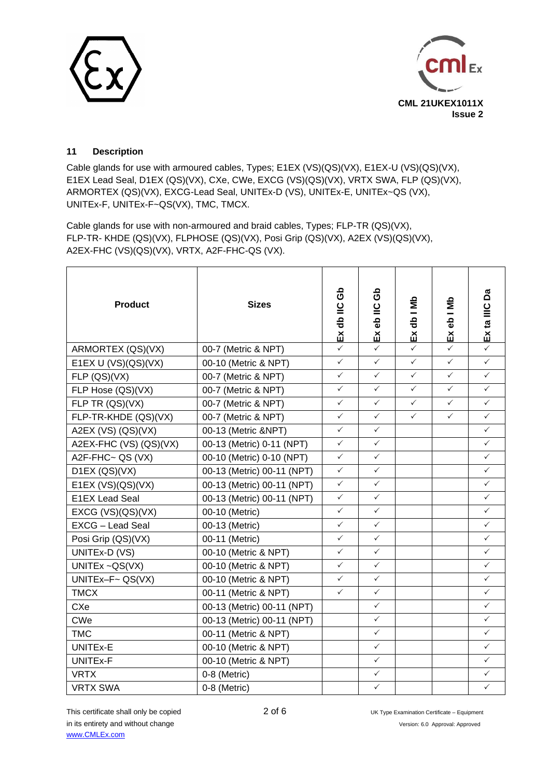



## **11 Description**

Cable glands for use with armoured cables, Types; E1EX (VS)(QS)(VX), E1EX-U (VS)(QS)(VX), E1EX Lead Seal, D1EX (QS)(VX), CXe, CWe, EXCG (VS)(QS)(VX), VRTX SWA, FLP (QS)(VX), ARMORTEX (QS)(VX), EXCG-Lead Seal, UNITEx-D (VS), UNITEx-E, UNITEx~QS (VX), UNITEx-F, UNITEx-F~QS(VX), TMC, TMCX.

Cable glands for use with non-armoured and braid cables, Types; FLP-TR (QS)(VX), FLP-TR- KHDE (QS)(VX), FLPHOSE (QS)(VX), Posi Grip (QS)(VX), A2EX (VS)(QS)(VX), A2EX-FHC (VS)(QS)(VX), VRTX, A2F-FHC-QS (VX).

| <b>Product</b>          | <b>Sizes</b>               | යි<br>Ex db IIC | යි<br>Ex eb IIC | Ex db I Mb   | Exeb I Mb    | Δã<br>Ex ta IIIC |
|-------------------------|----------------------------|-----------------|-----------------|--------------|--------------|------------------|
| ARMORTEX (QS)(VX)       | 00-7 (Metric & NPT)        | $\checkmark$    | $\checkmark$    | $\checkmark$ | $\checkmark$ | $\checkmark$     |
| E1EX U (VS)(QS)(VX)     | 00-10 (Metric & NPT)       | $\checkmark$    | $\checkmark$    | $\checkmark$ | $\checkmark$ | $\checkmark$     |
| FLP (QS)(VX)            | 00-7 (Metric & NPT)        | $\checkmark$    | $\checkmark$    | $\checkmark$ | $\checkmark$ | ✓                |
| FLP Hose (QS)(VX)       | 00-7 (Metric & NPT)        | $\checkmark$    | $\checkmark$    | $\checkmark$ | $\checkmark$ | $\checkmark$     |
| FLP TR (QS)(VX)         | 00-7 (Metric & NPT)        | $\checkmark$    | $\checkmark$    | $\checkmark$ | $\checkmark$ | $\checkmark$     |
| FLP-TR-KHDE (QS)(VX)    | 00-7 (Metric & NPT)        | $\checkmark$    | $\checkmark$    | $\checkmark$ | $\checkmark$ | $\checkmark$     |
| A2EX (VS) (QS)(VX)      | 00-13 (Metric &NPT)        | $\checkmark$    | $\checkmark$    |              |              | $\checkmark$     |
| A2EX-FHC (VS) (QS)(VX)  | 00-13 (Metric) 0-11 (NPT)  | $\checkmark$    | $\checkmark$    |              |              | $\checkmark$     |
| A2F-FHC~ QS (VX)        | 00-10 (Metric) 0-10 (NPT)  | $\checkmark$    | ✓               |              |              | $\checkmark$     |
| D1EX (QS)(VX)           | 00-13 (Metric) 00-11 (NPT) | $\checkmark$    | $\checkmark$    |              |              | $\checkmark$     |
| E1EX $(VS)(QS)(VX)$     | 00-13 (Metric) 00-11 (NPT) | $\checkmark$    | $\checkmark$    |              |              | ✓                |
| E1EX Lead Seal          | 00-13 (Metric) 00-11 (NPT) | $\checkmark$    | $\checkmark$    |              |              | $\checkmark$     |
| EXCG $(VS)(QS)(VX)$     | 00-10 (Metric)             | $\checkmark$    | $\checkmark$    |              |              | $\checkmark$     |
| <b>EXCG - Lead Seal</b> | 00-13 (Metric)             | $\checkmark$    | ✓               |              |              | ✓                |
| Posi Grip (QS)(VX)      | 00-11 (Metric)             | $\checkmark$    | $\checkmark$    |              |              | $\checkmark$     |
| UNITEx-D (VS)           | 00-10 (Metric & NPT)       | $\checkmark$    | $\checkmark$    |              |              | $\checkmark$     |
| UNITE $x \sim QS(VX)$   | 00-10 (Metric & NPT)       | ✓               | ✓               |              |              | ✓                |
| UNITEx-F~ QS(VX)        | 00-10 (Metric & NPT)       | $\checkmark$    | $\checkmark$    |              |              | $\checkmark$     |
| <b>TMCX</b>             | 00-11 (Metric & NPT)       | $\checkmark$    | $\checkmark$    |              |              | ✓                |
| <b>CXe</b>              | 00-13 (Metric) 00-11 (NPT) |                 | $\checkmark$    |              |              | $\checkmark$     |
| <b>CWe</b>              | 00-13 (Metric) 00-11 (NPT) |                 | $\checkmark$    |              |              | $\checkmark$     |
| <b>TMC</b>              | 00-11 (Metric & NPT)       |                 | ✓               |              |              | $\checkmark$     |
| UNITEx-E                | 00-10 (Metric & NPT)       |                 | $\checkmark$    |              |              | $\checkmark$     |
| UNITEx-F                | 00-10 (Metric & NPT)       |                 | $\checkmark$    |              |              | $\checkmark$     |
| <b>VRTX</b>             | 0-8 (Metric)               |                 | $\checkmark$    |              |              | $\checkmark$     |
| <b>VRTX SWA</b>         | 0-8 (Metric)               |                 | ✓               |              |              | $\checkmark$     |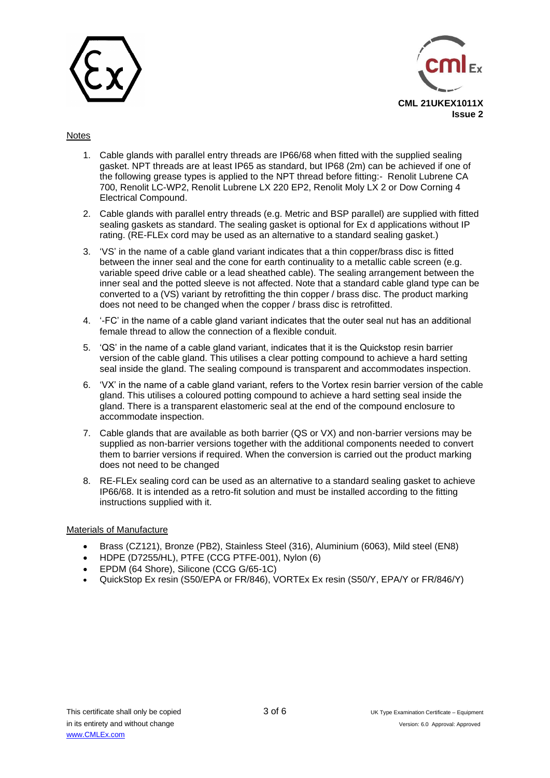



#### **Notes**

- 1. Cable glands with parallel entry threads are IP66/68 when fitted with the supplied sealing gasket. NPT threads are at least IP65 as standard, but IP68 (2m) can be achieved if one of the following grease types is applied to the NPT thread before fitting:- Renolit Lubrene CA 700, Renolit LC-WP2, Renolit Lubrene LX 220 EP2, Renolit Moly LX 2 or Dow Corning 4 Electrical Compound.
- 2. Cable glands with parallel entry threads (e.g. Metric and BSP parallel) are supplied with fitted sealing gaskets as standard. The sealing gasket is optional for Ex d applications without IP rating. (RE-FLEx cord may be used as an alternative to a standard sealing gasket.)
- 3. 'VS' in the name of a cable gland variant indicates that a thin copper/brass disc is fitted between the inner seal and the cone for earth continuality to a metallic cable screen (e.g. variable speed drive cable or a lead sheathed cable). The sealing arrangement between the inner seal and the potted sleeve is not affected. Note that a standard cable gland type can be converted to a (VS) variant by retrofitting the thin copper / brass disc. The product marking does not need to be changed when the copper / brass disc is retrofitted.
- 4. '-FC' in the name of a cable gland variant indicates that the outer seal nut has an additional female thread to allow the connection of a flexible conduit.
- 5. 'QS' in the name of a cable gland variant, indicates that it is the Quickstop resin barrier version of the cable gland. This utilises a clear potting compound to achieve a hard setting seal inside the gland. The sealing compound is transparent and accommodates inspection.
- 6. 'VX' in the name of a cable gland variant, refers to the Vortex resin barrier version of the cable gland. This utilises a coloured potting compound to achieve a hard setting seal inside the gland. There is a transparent elastomeric seal at the end of the compound enclosure to accommodate inspection.
- 7. Cable glands that are available as both barrier (QS or VX) and non-barrier versions may be supplied as non-barrier versions together with the additional components needed to convert them to barrier versions if required. When the conversion is carried out the product marking does not need to be changed
- 8. RE-FLEx sealing cord can be used as an alternative to a standard sealing gasket to achieve IP66/68. It is intended as a retro-fit solution and must be installed according to the fitting instructions supplied with it.

#### Materials of Manufacture

- Brass (CZ121), Bronze (PB2), Stainless Steel (316), Aluminium (6063), Mild steel (EN8)
- HDPE (D7255/HL), PTFE (CCG PTFE-001), Nylon (6)
- EPDM (64 Shore), Silicone (CCG G/65-1C)
- QuickStop Ex resin (S50/EPA or FR/846), VORTEx Ex resin (S50/Y, EPA/Y or FR/846/Y)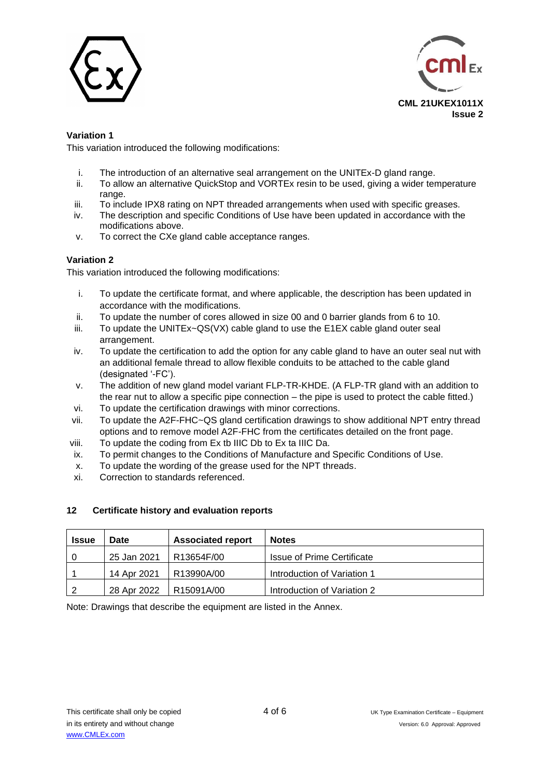



## **Variation 1**

This variation introduced the following modifications:

- i. The introduction of an alternative seal arrangement on the UNITEx-D gland range.
- ii. To allow an alternative QuickStop and VORTEx resin to be used, giving a wider temperature range.
- iii. To include IPX8 rating on NPT threaded arrangements when used with specific greases.
- iv. The description and specific Conditions of Use have been updated in accordance with the modifications above.
- v. To correct the CXe gland cable acceptance ranges.

## **Variation 2**

This variation introduced the following modifications:

- i. To update the certificate format, and where applicable, the description has been updated in accordance with the modifications.
- ii. To update the number of cores allowed in size 00 and 0 barrier glands from 6 to 10.
- iii. To update the UNITEx~QS(VX) cable gland to use the E1EX cable gland outer seal arrangement.
- iv. To update the certification to add the option for any cable gland to have an outer seal nut with an additional female thread to allow flexible conduits to be attached to the cable gland (designated '-FC').
- v. The addition of new gland model variant FLP-TR-KHDE. (A FLP-TR gland with an addition to the rear nut to allow a specific pipe connection – the pipe is used to protect the cable fitted.)
- vi. To update the certification drawings with minor corrections.
- vii. To update the A2F-FHC~QS gland certification drawings to show additional NPT entry thread options and to remove model A2F-FHC from the certificates detailed on the front page.
- viii. To update the coding from Ex tb IIIC Db to Ex ta IIIC Da.
- ix. To permit changes to the Conditions of Manufacture and Specific Conditions of Use.
- x. To update the wording of the grease used for the NPT threads.
- xi. Correction to standards referenced.

## **12 Certificate history and evaluation reports**

| <b>Issue</b> | Date        | <b>Associated report</b> | <b>Notes</b>                      |
|--------------|-------------|--------------------------|-----------------------------------|
|              | 25 Jan 2021 | R13654F/00               | <b>Issue of Prime Certificate</b> |
|              | 14 Apr 2021 | R13990A/00               | Introduction of Variation 1       |
|              | 28 Apr 2022 | R15091A/00               | Introduction of Variation 2       |

Note: Drawings that describe the equipment are listed in the Annex.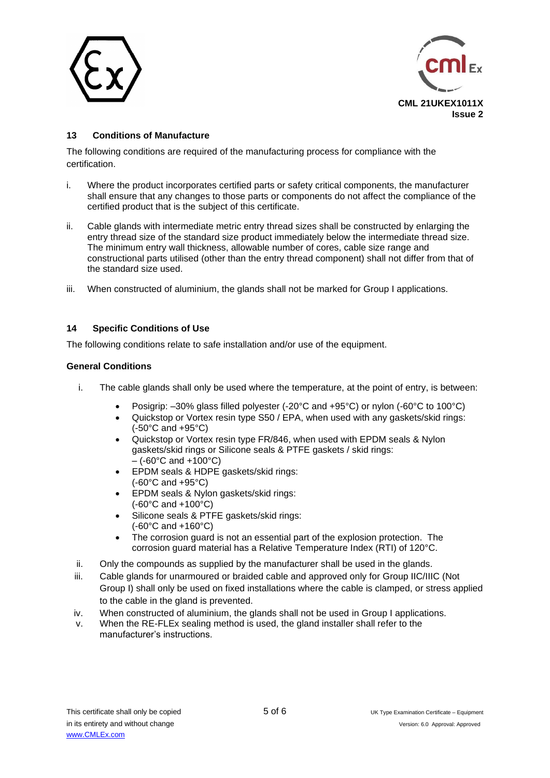



# **13 Conditions of Manufacture**

The following conditions are required of the manufacturing process for compliance with the certification.

- i. Where the product incorporates certified parts or safety critical components, the manufacturer shall ensure that any changes to those parts or components do not affect the compliance of the certified product that is the subject of this certificate.
- ii. Cable glands with intermediate metric entry thread sizes shall be constructed by enlarging the entry thread size of the standard size product immediately below the intermediate thread size. The minimum entry wall thickness, allowable number of cores, cable size range and constructional parts utilised (other than the entry thread component) shall not differ from that of the standard size used.
- iii. When constructed of aluminium, the glands shall not be marked for Group I applications.

## **14 Specific Conditions of Use**

The following conditions relate to safe installation and/or use of the equipment.

#### **General Conditions**

- i. The cable glands shall only be used where the temperature, at the point of entry, is between:
	- Posigrip: –30% glass filled polyester (-20°C and +95°C) or nylon (-60°C to 100°C)
	- Quickstop or Vortex resin type S50 / EPA, when used with any gaskets/skid rings: (-50°C and +95°C)
	- Quickstop or Vortex resin type FR/846, when used with EPDM seals & Nylon gaskets/skid rings or Silicone seals & PTFE gaskets / skid rings:  $-$  (-60 $^{\circ}$ C and +100 $^{\circ}$ C)
	- EPDM seals & HDPE gaskets/skid rings: (-60°C and +95°C)
	- EPDM seals & Nylon gaskets/skid rings: (-60°C and +100°C)
	- Silicone seals & PTFE gaskets/skid rings: (-60°C and +160°C)
	- The corrosion guard is not an essential part of the explosion protection. The corrosion guard material has a Relative Temperature Index (RTI) of 120°C.
- ii. Only the compounds as supplied by the manufacturer shall be used in the glands.
- iii. Cable glands for unarmoured or braided cable and approved only for Group IIC/IIIC (Not Group I) shall only be used on fixed installations where the cable is clamped, or stress applied to the cable in the gland is prevented.
- iv. When constructed of aluminium, the glands shall not be used in Group I applications.
- v. When the RE-FLEx sealing method is used, the gland installer shall refer to the manufacturer's instructions.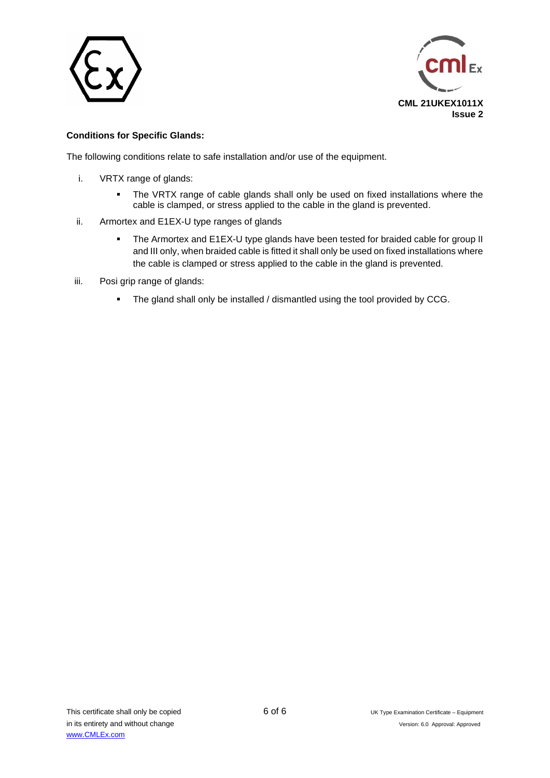



## **Conditions for Specific Glands:**

The following conditions relate to safe installation and/or use of the equipment.

- i. VRTX range of glands:
	- **The VRTX range of cable glands shall only be used on fixed installations where the** cable is clamped, or stress applied to the cable in the gland is prevented.
- ii. Armortex and E1EX-U type ranges of glands
	- The Armortex and E1EX-U type glands have been tested for braided cable for group II and III only, when braided cable is fitted it shall only be used on fixed installations where the cable is clamped or stress applied to the cable in the gland is prevented.
- iii. Posi grip range of glands:
	- The gland shall only be installed / dismantled using the tool provided by CCG.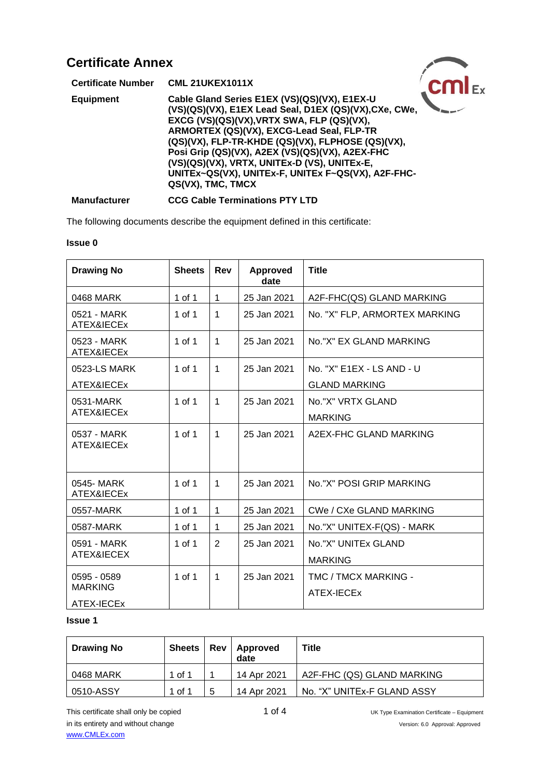| <b>Certificate Annex</b>  |                                                                                                                                                                                                                                                                                                                                                                                                                                      |  |
|---------------------------|--------------------------------------------------------------------------------------------------------------------------------------------------------------------------------------------------------------------------------------------------------------------------------------------------------------------------------------------------------------------------------------------------------------------------------------|--|
| <b>Certificate Number</b> | <b>CML 21UKEX1011X</b>                                                                                                                                                                                                                                                                                                                                                                                                               |  |
| <b>Equipment</b>          | Cable Gland Series E1EX (VS)(QS)(VX), E1EX-U<br>(VS)(QS)(VX), E1EX Lead Seal, D1EX (QS)(VX), CXe, CWe,<br>EXCG (VS)(QS)(VX), VRTX SWA, FLP (QS)(VX),<br>ARMORTEX (QS)(VX), EXCG-Lead Seal, FLP-TR<br>(QS)(VX), FLP-TR-KHDE (QS)(VX), FLPHOSE (QS)(VX),<br>Posi Grip (QS)(VX), A2EX (VS)(QS)(VX), A2EX-FHC<br>(VS)(QS)(VX), VRTX, UNITEx-D (VS), UNITEx-E,<br>UNITEx~QS(VX), UNITEx-F, UNITEx F~QS(VX), A2F-FHC-<br>QS(VX), TMC, TMCX |  |
| <b>Manufacturer</b>       | <b>CCG Cable Terminations PTY LTD</b>                                                                                                                                                                                                                                                                                                                                                                                                |  |

The following documents describe the equipment defined in this certificate:

#### **Issue 0**

| <b>Drawing No</b>         | <b>Sheets</b> | Rev          | <b>Approved</b><br>date | <b>Title</b>                   |
|---------------------------|---------------|--------------|-------------------------|--------------------------------|
| 0468 MARK                 | 1 of 1        | $\mathbf{1}$ | 25 Jan 2021             | A2F-FHC(QS) GLAND MARKING      |
| 0521 - MARK<br>ATEX&IECEx | 1 of 1        | 1            | 25 Jan 2021             | No. "X" FLP, ARMORTEX MARKING  |
| 0523 - MARK<br>ATEX&IECEx | 1 of 1        | $\mathbf{1}$ | 25 Jan 2021             | No."X" EX GLAND MARKING        |
| 0523-LS MARK              | 1 of 1        | $\mathbf{1}$ | 25 Jan 2021             | No. "X" E1EX - LS AND - U      |
| ATEX&IECEx                |               |              |                         | <b>GLAND MARKING</b>           |
| 0531-MARK                 | $1$ of $1$    | $\mathbf{1}$ | 25 Jan 2021             | No."X" VRTX GLAND              |
| ATEX&IECEx                |               |              |                         | <b>MARKING</b>                 |
| 0537 - MARK<br>ATEX&IECEx | 1 of 1        | $\mathbf 1$  | 25 Jan 2021             | A2EX-FHC GLAND MARKING         |
| 0545-MARK<br>ATEX&IECEx   | $1$ of $1$    | $\mathbf{1}$ | 25 Jan 2021             | No."X" POSI GRIP MARKING       |
| 0557-MARK                 | 1 of 1        | $\mathbf{1}$ | 25 Jan 2021             | <b>CWe / CXe GLAND MARKING</b> |
| 0587-MARK                 | 1 of 1        | 1            | 25 Jan 2021             | No."X" UNITEX-F(QS) - MARK     |
| 0591 - MARK               | 1 of 1        | 2            | 25 Jan 2021             | No."X" UNITEx GLAND            |
| ATEX&IECEX                |               |              |                         | <b>MARKING</b>                 |
| 0595 - 0589               | 1 of 1        | $\mathbf{1}$ | 25 Jan 2021             | TMC / TMCX MARKING -           |
| <b>MARKING</b>            |               |              |                         | ATEX-IECEx                     |
| ATEX-IECEx                |               |              |                         |                                |

#### **Issue 1**

| <b>Drawing No</b> | <b>Sheets</b> | Rev | Approved<br>date | <b>Title</b>                |
|-------------------|---------------|-----|------------------|-----------------------------|
| 0468 MARK         | of 1          |     | 14 Apr 2021      | A2F-FHC (QS) GLAND MARKING  |
| 0510-ASSY         | of 1          | 5   | 14 Apr 2021      | No. "X" UNITEx-F GLAND ASSY |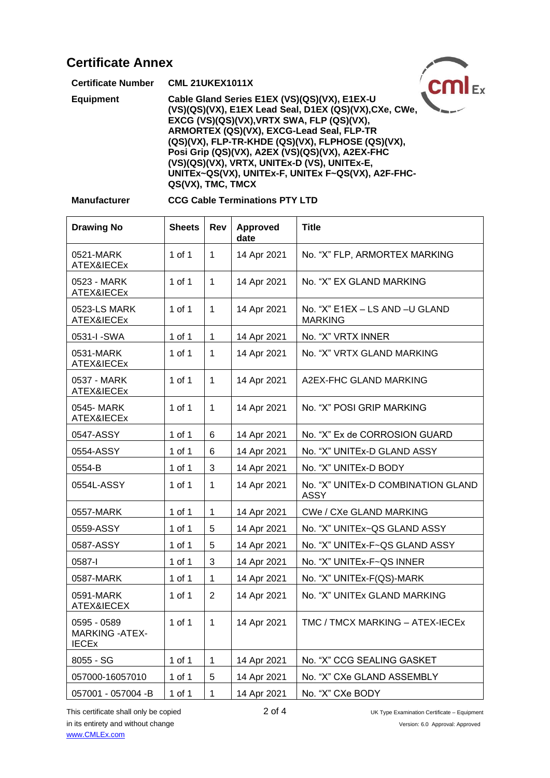| <b>Certificate Annex</b>  |                                                                                                                                                                                                                                                                                                                                                                                                                                      |  |
|---------------------------|--------------------------------------------------------------------------------------------------------------------------------------------------------------------------------------------------------------------------------------------------------------------------------------------------------------------------------------------------------------------------------------------------------------------------------------|--|
| <b>Certificate Number</b> | <b>CML 21UKEX1011X</b>                                                                                                                                                                                                                                                                                                                                                                                                               |  |
| <b>Equipment</b>          | Cable Gland Series E1EX (VS)(QS)(VX), E1EX-U<br>(VS)(QS)(VX), E1EX Lead Seal, D1EX (QS)(VX), CXe, CWe,<br>EXCG (VS)(QS)(VX), VRTX SWA, FLP (QS)(VX),<br>ARMORTEX (QS)(VX), EXCG-Lead Seal, FLP-TR<br>(QS)(VX), FLP-TR-KHDE (QS)(VX), FLPHOSE (QS)(VX),<br>Posi Grip (QS)(VX), A2EX (VS)(QS)(VX), A2EX-FHC<br>(VS)(QS)(VX), VRTX, UNITEx-D (VS), UNITEx-E,<br>UNITEx~QS(VX), UNITEx-F, UNITEx F~QS(VX), A2F-FHC-<br>QS(VX), TMC, TMCX |  |

# **Manufacturer CCG Cable Terminations PTY LTD**

| <b>Drawing No</b>                                     | <b>Sheets</b> | Rev          | <b>Approved</b><br>date | <b>Title</b>                                     |
|-------------------------------------------------------|---------------|--------------|-------------------------|--------------------------------------------------|
| 0521-MARK<br>ATEX&IECEx                               | 1 of 1        | $\mathbf{1}$ | 14 Apr 2021             | No. "X" FLP, ARMORTEX MARKING                    |
| 0523 - MARK<br>ATEX&IECEx                             | $1$ of $1$    | $\mathbf{1}$ | 14 Apr 2021             | No. "X" EX GLAND MARKING                         |
| 0523-LS MARK<br>ATEX&IECEx                            | 1 of 1        | 1            | 14 Apr 2021             | No. "X" E1EX - LS AND -U GLAND<br><b>MARKING</b> |
| 0531-I-SWA                                            | 1 of 1        | $\mathbf{1}$ | 14 Apr 2021             | No. "X" VRTX INNER                               |
| 0531-MARK<br>ATEX&IECEx                               | 1 of 1        | $\mathbf 1$  | 14 Apr 2021             | No. "X" VRTX GLAND MARKING                       |
| 0537 - MARK<br>ATEX&IECEx                             | $1$ of $1$    | 1            | 14 Apr 2021             | A2EX-FHC GLAND MARKING                           |
| 0545- MARK<br>ATEX&IECEx                              | 1 of 1        | $\mathbf 1$  | 14 Apr 2021             | No. "X" POSI GRIP MARKING                        |
| 0547-ASSY                                             | $1$ of $1$    | 6            | 14 Apr 2021             | No. "X" Ex de CORROSION GUARD                    |
| 0554-ASSY                                             | 1 of 1        | 6            | 14 Apr 2021             | No. "X" UNITEx-D GLAND ASSY                      |
| 0554-B                                                | 1 of 1        | 3            | 14 Apr 2021             | No. "X" UNITEx-D BODY                            |
| 0554L-ASSY                                            | 1 of 1        | $\mathbf{1}$ | 14 Apr 2021             | No. "X" UNITEx-D COMBINATION GLAND<br>ASSY       |
| 0557-MARK                                             | $1$ of $1$    | $\mathbf 1$  | 14 Apr 2021             | CWe / CXe GLAND MARKING                          |
| 0559-ASSY                                             | 1 of 1        | 5            | 14 Apr 2021             | No. "X" UNITEx~QS GLAND ASSY                     |
| 0587-ASSY                                             | $1$ of $1$    | 5            | 14 Apr 2021             | No. "X" UNITEx-F~QS GLAND ASSY                   |
| 0587-l                                                | $1$ of $1$    | 3            | 14 Apr 2021             | No. "X" UNITEx-F~QS INNER                        |
| 0587-MARK                                             | $1$ of $1$    | 1            | 14 Apr 2021             | No. "X" UNITEx-F(QS)-MARK                        |
| 0591-MARK<br>ATEX&IECEX                               | 1 of 1        | 2            | 14 Apr 2021             | No. "X" UNITEx GLAND MARKING                     |
| 0595 - 0589<br><b>MARKING - ATEX-</b><br><b>IECEX</b> | 1 of 1        | $\mathbf{1}$ | 14 Apr 2021             | TMC / TMCX MARKING - ATEX-IECEx                  |
| 8055 - SG                                             | $1$ of $1$    | $\mathbf{1}$ | 14 Apr 2021             | No. "X" CCG SEALING GASKET                       |
| 057000-16057010                                       | 1 of 1        | 5            | 14 Apr 2021             | No. "X" CXe GLAND ASSEMBLY                       |
| 057001 - 057004 -B                                    | 1 of 1        | 1            | 14 Apr 2021             | No. "X" CXe BODY                                 |

This certificate shall only be copied 2 of 4 UK Type Examination Certificate – Equipment in its entirety and without change Version: 6.0 Approval: Approved [www.CMLEx.com](http://www.cmlex.com/)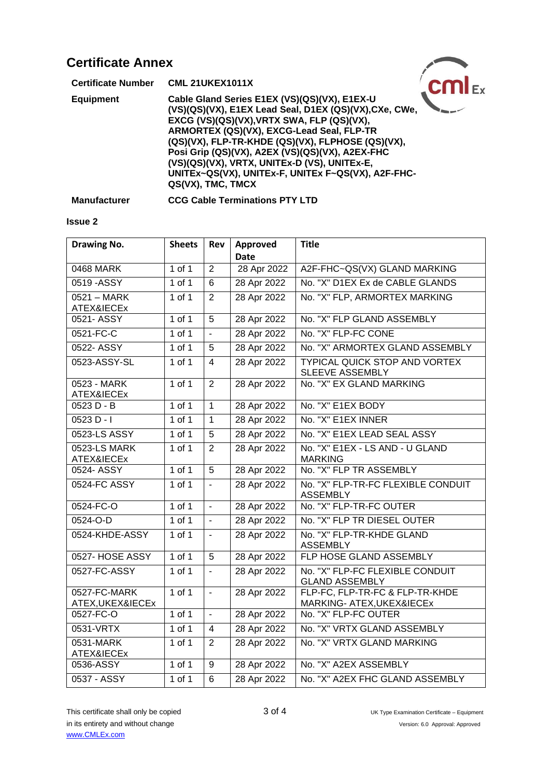| <b>Certificate Annex</b>  |                                                                                                                                                                                                                                                                                                                                                                                                                                      |  |
|---------------------------|--------------------------------------------------------------------------------------------------------------------------------------------------------------------------------------------------------------------------------------------------------------------------------------------------------------------------------------------------------------------------------------------------------------------------------------|--|
| <b>Certificate Number</b> | <b>CML 21UKEX1011X</b>                                                                                                                                                                                                                                                                                                                                                                                                               |  |
| <b>Equipment</b>          | Cable Gland Series E1EX (VS)(QS)(VX), E1EX-U<br>(VS)(QS)(VX), E1EX Lead Seal, D1EX (QS)(VX), CXe, CWe,<br>EXCG (VS)(QS)(VX), VRTX SWA, FLP (QS)(VX),<br>ARMORTEX (QS)(VX), EXCG-Lead Seal, FLP-TR<br>(QS)(VX), FLP-TR-KHDE (QS)(VX), FLPHOSE (QS)(VX),<br>Posi Grip (QS)(VX), A2EX (VS)(QS)(VX), A2EX-FHC<br>(VS)(QS)(VX), VRTX, UNITEx-D (VS), UNITEx-E,<br>UNITEx~QS(VX), UNITEx-F, UNITEx F~QS(VX), A2F-FHC-<br>QS(VX), TMC, TMCX |  |

**Manufacturer CCG Cable Terminations PTY LTD**

#### **Issue 2**

| <b>Drawing No.</b>                 | <b>Sheets</b> | Rev            | Approved<br><b>Date</b> | <b>Title</b>                                                 |
|------------------------------------|---------------|----------------|-------------------------|--------------------------------------------------------------|
| 0468 MARK                          | $1$ of $1$    | $\overline{2}$ | 28 Apr 2022             | A2F-FHC~QS(VX) GLAND MARKING                                 |
| 0519 - ASSY                        | $1$ of $1$    | 6              | 28 Apr 2022             | No. "X" D1EX Ex de CABLE GLANDS                              |
| $0521 - \text{MARK}$<br>ATEX&IECEx | $1$ of $1$    | $\overline{2}$ | 28 Apr 2022             | No. "X" FLP, ARMORTEX MARKING                                |
| 0521-ASSY                          | $1$ of $1$    | $\overline{5}$ | 28 Apr 2022             | No. "X" FLP GLAND ASSEMBLY                                   |
| 0521-FC-C                          | $1$ of $1$    | $\mathbf{r}$   | 28 Apr 2022             | No. "X" FLP-FC CONE                                          |
| 0522- ASSY                         | $1$ of $1$    | 5              | 28 Apr 2022             | No. "X" ARMORTEX GLAND ASSEMBLY                              |
| 0523-ASSY-SL                       | $1$ of $1$    | $\overline{4}$ | 28 Apr 2022             | TYPICAL QUICK STOP AND VORTEX<br>SLEEVE ASSEMBLY             |
| 0523 - MARK<br>ATEX&IECEx          | $1$ of $1$    | $\overline{2}$ | 28 Apr 2022             | No. "X" EX GLAND MARKING                                     |
| $0523 D - B$                       | $1$ of $1$    | $\overline{1}$ | 28 Apr 2022             | No. "X" E1EX BODY                                            |
| $0523 D - I$                       | 1 of 1        | $\mathbf{1}$   | 28 Apr 2022             | No. "X" E1EX INNER                                           |
| 0523-LS ASSY                       | $1$ of $1$    | 5              | 28 Apr 2022             | No. "X" E1EX LEAD SEAL ASSY                                  |
| 0523-LS MARK<br>ATEX&IECEx         | $1$ of $1$    | $\overline{2}$ | 28 Apr 2022             | No. "X" E1EX - LS AND - U GLAND<br><b>MARKING</b>            |
| 0524- ASSY                         | $1$ of $1$    | $\overline{5}$ | 28 Apr 2022             | No. "X" FLP TR ASSEMBLY                                      |
| 0524-FC ASSY                       | $1$ of $1$    | $\blacksquare$ | 28 Apr 2022             | No. "X" FLP-TR-FC FLEXIBLE CONDUIT<br><b>ASSEMBLY</b>        |
| 0524-FC-O                          | $1$ of $1$    | $\overline{a}$ | 28 Apr 2022             | No. "X" FLP-TR-FC OUTER                                      |
| 0524-O-D                           | $1$ of $1$    | $\mathbf{r}$   | 28 Apr 2022             | No. "X" FLP TR DIESEL OUTER                                  |
| 0524-KHDE-ASSY                     | $1$ of 1      | $\sim$         | 28 Apr 2022             | No. "X" FLP-TR-KHDE GLAND<br><b>ASSEMBLY</b>                 |
| 0527- HOSE ASSY                    | $1$ of $1$    | $\overline{5}$ | 28 Apr 2022             | FLP HOSE GLAND ASSEMBLY                                      |
| 0527-FC-ASSY                       | $1$ of $1$    | $\mathbf{r}$   | 28 Apr 2022             | No. "X" FLP-FC FLEXIBLE CONDUIT<br><b>GLAND ASSEMBLY</b>     |
| 0527-FC-MARK<br>ATEX, UKEX&IECEx   | $1$ of $1$    | $\blacksquare$ | 28 Apr 2022             | FLP-FC, FLP-TR-FC & FLP-TR-KHDE<br>MARKING- ATEX, UKEX&IECEx |
| 0527-FC-O                          | $1$ of $1$    | $\mathbf{r}$   | 28 Apr 2022             | No. "X" FLP-FC OUTER                                         |
| 0531-VRTX                          | $1$ of $1$    | 4              | 28 Apr 2022             | No. "X" VRTX GLAND ASSEMBLY                                  |
| 0531-MARK<br>ATEX&IECEx            | $1$ of $1$    | $\overline{2}$ | 28 Apr 2022             | No. "X" VRTX GLAND MARKING                                   |
| 0536-ASSY                          | 1 of 1        | 9              | 28 Apr 2022             | No. "X" A2EX ASSEMBLY                                        |
| 0537 - ASSY                        | $1$ of $1$    | 6              | 28 Apr 2022             | No. "X" A2EX FHC GLAND ASSEMBLY                              |